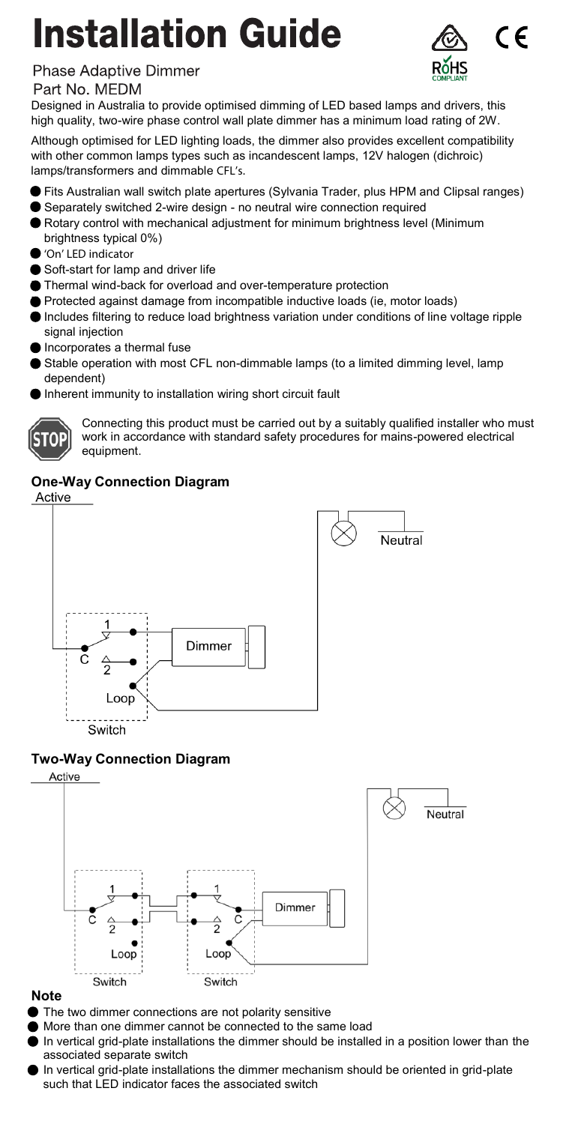# **Installation Guide**



### Phase Adaptive Dimmer

### Part No. MEDM

Designed in Australia to provide optimised dimming of LED based lamps and drivers, this high quality, two-wire phase control wall plate dimmer has a minimum load rating of 2W.

Although optimised for LED lighting loads, the dimmer also provides excellent compatibility with other common lamps types such as incandescent lamps, 12V halogen (dichroic) lamps/transformers and dimmable CFL's.

- Fits Australian wall switch plate apertures (Sylvania Trader, plus HPM and Clipsal ranges)
- Separately switched 2-wire design no neutral wire connection required
- Rotary control with mechanical adjustment for minimum brightness level (Minimum brightness typical 0%)
- 'On' LED indicator
- Soft-start for lamp and driver life
- Thermal wind-back for overload and over-temperature protection
- **Protected against damage from incompatible inductive loads (ie, motor loads)**
- Includes filtering to reduce load brightness variation under conditions of line voltage ripple signal injection
- Incorporates a thermal fuse
- Stable operation with most CFL non-dimmable lamps (to a limited dimming level, lamp dependent)
- Inherent immunity to installation wiring short circuit fault



Connecting this product must be carried out by a suitably qualified installer who must work in accordance with standard safety procedures for mains-powered electrical equipment.

## **One-Way Connection Diagram**



### **Two-Way Connection Diagram**



#### **Note**

- The two dimmer connections are not polarity sensitive
- More than one dimmer cannot be connected to the same load
- In vertical grid-plate installations the dimmer should be installed in a position lower than the associated separate switch
- In vertical grid-plate installations the dimmer mechanism should be oriented in grid-plate such that LED indicator faces the associated switch